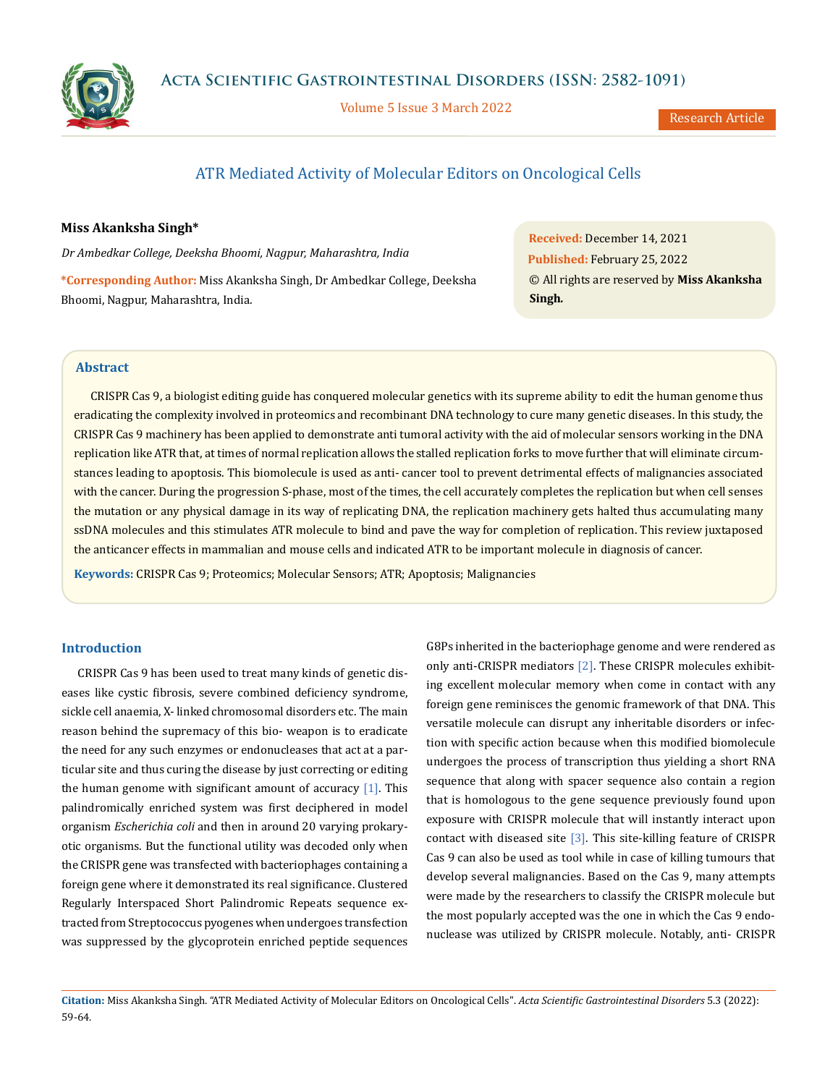

Volume 5 Issue 3 March 2022

Research Article

# ATR Mediated Activity of Molecular Editors on Oncological Cells

# **Miss Akanksha Singh\***

*Dr Ambedkar College, Deeksha Bhoomi, Nagpur, Maharashtra, India*

**\*Corresponding Author:** Miss Akanksha Singh, Dr Ambedkar College, Deeksha Bhoomi, Nagpur, Maharashtra, India.

**Received:** December 14, 2021 **Published:** February 25, 2022 © All rights are reserved by **Miss Akanksha Singh***.*

# **Abstract**

CRISPR Cas 9, a biologist editing guide has conquered molecular genetics with its supreme ability to edit the human genome thus eradicating the complexity involved in proteomics and recombinant DNA technology to cure many genetic diseases. In this study, the CRISPR Cas 9 machinery has been applied to demonstrate anti tumoral activity with the aid of molecular sensors working in the DNA replication like ATR that, at times of normal replication allows the stalled replication forks to move further that will eliminate circumstances leading to apoptosis. This biomolecule is used as anti- cancer tool to prevent detrimental effects of malignancies associated with the cancer. During the progression S-phase, most of the times, the cell accurately completes the replication but when cell senses the mutation or any physical damage in its way of replicating DNA, the replication machinery gets halted thus accumulating many ssDNA molecules and this stimulates ATR molecule to bind and pave the way for completion of replication. This review juxtaposed the anticancer effects in mammalian and mouse cells and indicated ATR to be important molecule in diagnosis of cancer.

**Keywords:** CRISPR Cas 9; Proteomics; Molecular Sensors; ATR; Apoptosis; Malignancies

# **Introduction**

CRISPR Cas 9 has been used to treat many kinds of genetic diseases like cystic fibrosis, severe combined deficiency syndrome, sickle cell anaemia, X- linked chromosomal disorders etc. The main reason behind the supremacy of this bio- weapon is to eradicate the need for any such enzymes or endonucleases that act at a particular site and thus curing the disease by just correcting or editing the human genome with significant amount of accuracy  $[1]$ . This palindromically enriched system was first deciphered in model organism *Escherichia coli* and then in around 20 varying prokaryotic organisms. But the functional utility was decoded only when the CRISPR gene was transfected with bacteriophages containing a foreign gene where it demonstrated its real significance. Clustered Regularly Interspaced Short Palindromic Repeats sequence extracted from Streptococcus pyogenes when undergoes transfection was suppressed by the glycoprotein enriched peptide sequences G8Ps inherited in the bacteriophage genome and were rendered as only anti-CRISPR mediators [2]. These CRISPR molecules exhibiting excellent molecular memory when come in contact with any foreign gene reminisces the genomic framework of that DNA. This versatile molecule can disrupt any inheritable disorders or infection with specific action because when this modified biomolecule undergoes the process of transcription thus yielding a short RNA sequence that along with spacer sequence also contain a region that is homologous to the gene sequence previously found upon exposure with CRISPR molecule that will instantly interact upon contact with diseased site [3]. This site-killing feature of CRISPR Cas 9 can also be used as tool while in case of killing tumours that develop several malignancies. Based on the Cas 9, many attempts were made by the researchers to classify the CRISPR molecule but the most popularly accepted was the one in which the Cas 9 endonuclease was utilized by CRISPR molecule. Notably, anti- CRISPR

**Citation:** Miss Akanksha Singh*.* "ATR Mediated Activity of Molecular Editors on Oncological Cells". *Acta Scientific Gastrointestinal Disorders* 5.3 (2022): 59-64.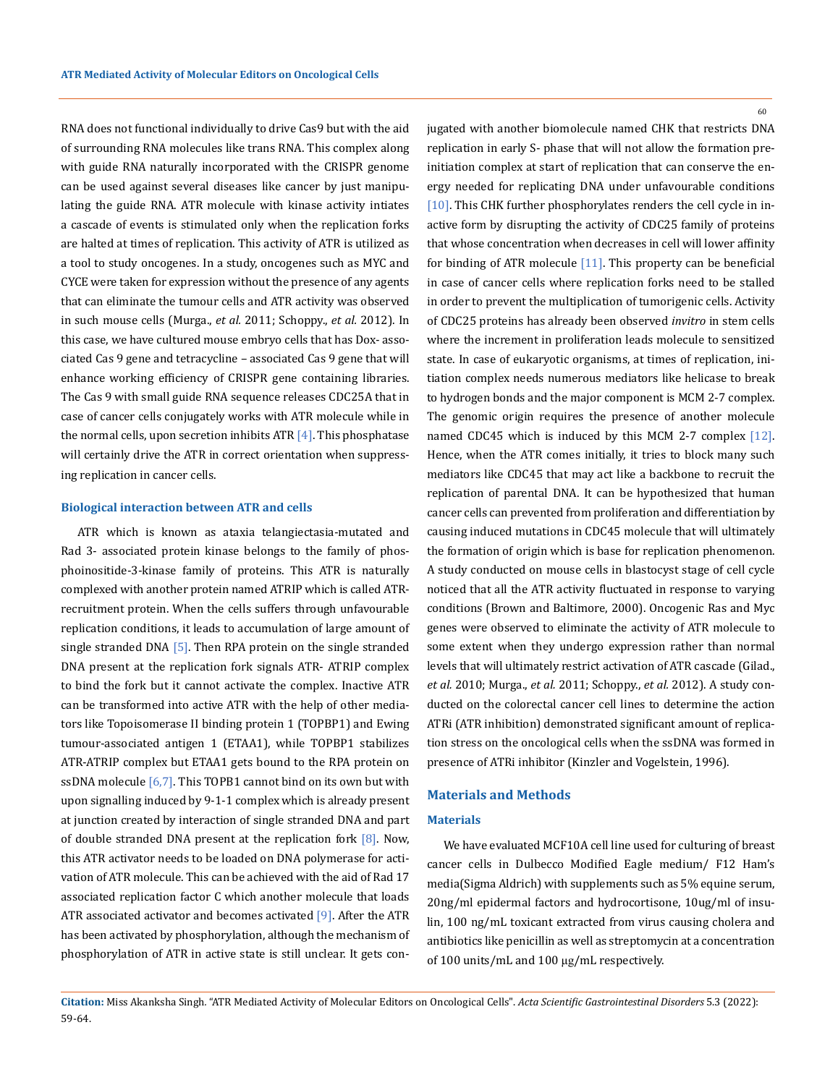RNA does not functional individually to drive Cas9 but with the aid of surrounding RNA molecules like trans RNA. This complex along with guide RNA naturally incorporated with the CRISPR genome can be used against several diseases like cancer by just manipulating the guide RNA. ATR molecule with kinase activity intiates a cascade of events is stimulated only when the replication forks are halted at times of replication. This activity of ATR is utilized as a tool to study oncogenes. In a study, oncogenes such as MYC and CYCE were taken for expression without the presence of any agents that can eliminate the tumour cells and ATR activity was observed in such mouse cells (Murga., *et al.* 2011; Schoppy., *et al.* 2012). In this case, we have cultured mouse embryo cells that has Dox- associated Cas 9 gene and tetracycline – associated Cas 9 gene that will enhance working efficiency of CRISPR gene containing libraries. The Cas 9 with small guide RNA sequence releases CDC25A that in case of cancer cells conjugately works with ATR molecule while in the normal cells, upon secretion inhibits  $ATR[4]$ . This phosphatase will certainly drive the ATR in correct orientation when suppressing replication in cancer cells.

# **Biological interaction between ATR and cells**

ATR which is known as ataxia telangiectasia-mutated and Rad 3- associated protein kinase belongs to the family of phosphoinositide-3-kinase family of proteins. This ATR is naturally complexed with another protein named ATRIP which is called ATRrecruitment protein. When the cells suffers through unfavourable replication conditions, it leads to accumulation of large amount of single stranded DNA  $[5]$ . Then RPA protein on the single stranded DNA present at the replication fork signals ATR- ATRIP complex to bind the fork but it cannot activate the complex. Inactive ATR can be transformed into active ATR with the help of other mediators like Topoisomerase II binding protein 1 (TOPBP1) and Ewing tumour-associated antigen 1 (ETAA1), while TOPBP1 stabilizes ATR-ATRIP complex but ETAA1 gets bound to the RPA protein on ssDNA molecule  $[6,7]$ . This TOPB1 cannot bind on its own but with upon signalling induced by 9-1-1 complex which is already present at junction created by interaction of single stranded DNA and part of double stranded DNA present at the replication fork  $[8]$ . Now, this ATR activator needs to be loaded on DNA polymerase for activation of ATR molecule. This can be achieved with the aid of Rad 17 associated replication factor C which another molecule that loads ATR associated activator and becomes activated [9]. After the ATR has been activated by phosphorylation, although the mechanism of phosphorylation of ATR in active state is still unclear. It gets con60

jugated with another biomolecule named CHK that restricts DNA replication in early S- phase that will not allow the formation preinitiation complex at start of replication that can conserve the energy needed for replicating DNA under unfavourable conditions [10]. This CHK further phosphorylates renders the cell cycle in inactive form by disrupting the activity of CDC25 family of proteins that whose concentration when decreases in cell will lower affinity for binding of ATR molecule [11]. This property can be beneficial in case of cancer cells where replication forks need to be stalled in order to prevent the multiplication of tumorigenic cells. Activity of CDC25 proteins has already been observed *invitro* in stem cells where the increment in proliferation leads molecule to sensitized state. In case of eukaryotic organisms, at times of replication, initiation complex needs numerous mediators like helicase to break to hydrogen bonds and the major component is MCM 2-7 complex. The genomic origin requires the presence of another molecule named CDC45 which is induced by this MCM 2-7 complex [12]. Hence, when the ATR comes initially, it tries to block many such mediators like CDC45 that may act like a backbone to recruit the replication of parental DNA. It can be hypothesized that human cancer cells can prevented from proliferation and differentiation by causing induced mutations in CDC45 molecule that will ultimately the formation of origin which is base for replication phenomenon. A study conducted on mouse cells in blastocyst stage of cell cycle noticed that all the ATR activity fluctuated in response to varying conditions (Brown and Baltimore, 2000). Oncogenic Ras and Myc genes were observed to eliminate the activity of ATR molecule to some extent when they undergo expression rather than normal levels that will ultimately restrict activation of ATR cascade (Gilad., *et al.* 2010; Murga., *et al.* 2011; Schoppy., *et al.* 2012). A study conducted on the colorectal cancer cell lines to determine the action ATRi (ATR inhibition) demonstrated significant amount of replication stress on the oncological cells when the ssDNA was formed in presence of ATRi inhibitor (Kinzler and Vogelstein, 1996).

# **Materials and Methods**

### **Materials**

We have evaluated MCF10A cell line used for culturing of breast cancer cells in Dulbecco Modified Eagle medium/ F12 Ham's media(Sigma Aldrich) with supplements such as 5% equine serum, 20ng/ml epidermal factors and hydrocortisone, 10ug/ml of insulin, 100 ng/mL toxicant extracted from virus causing cholera and antibiotics like penicillin as well as streptomycin at a concentration of 100 units/mL and 100 μg/mL respectively.

**Citation:** Miss Akanksha Singh*.* "ATR Mediated Activity of Molecular Editors on Oncological Cells". *Acta Scientific Gastrointestinal Disorders* 5.3 (2022): 59-64.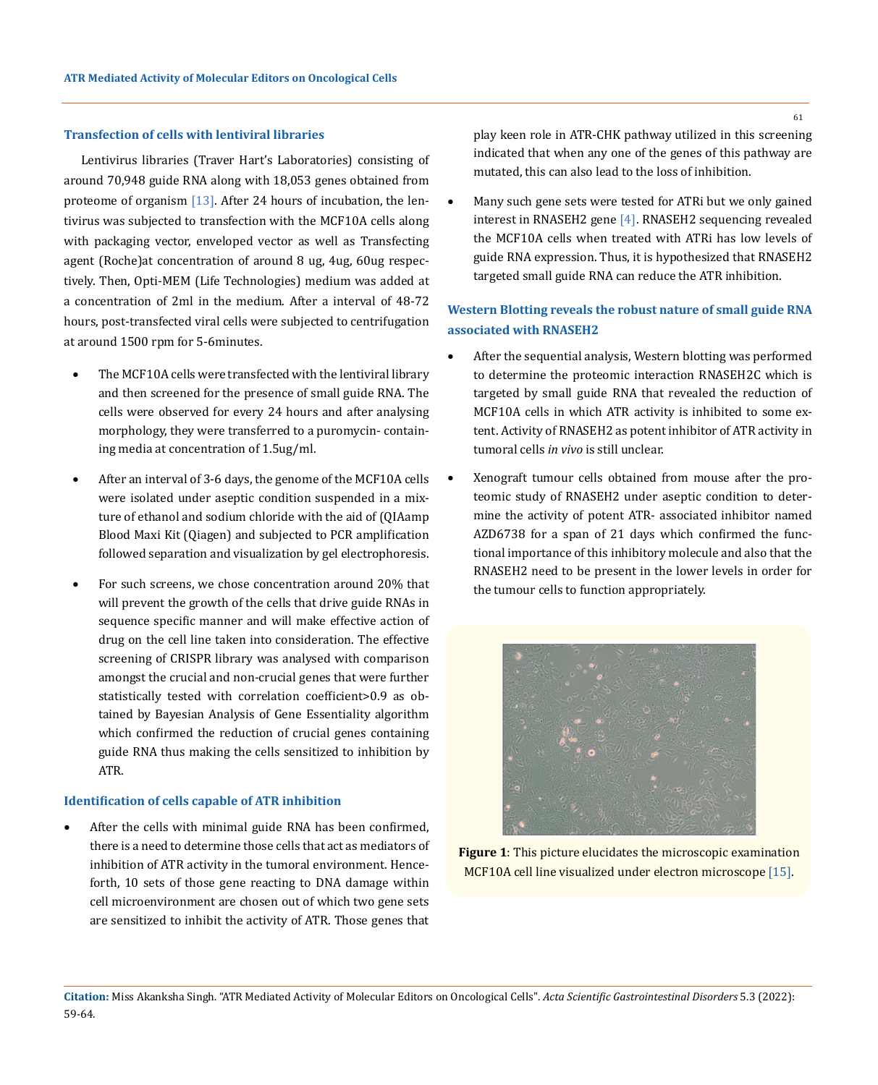### **Transfection of cells with lentiviral libraries**

Lentivirus libraries (Traver Hart's Laboratories) consisting of around 70,948 guide RNA along with 18,053 genes obtained from proteome of organism  $[13]$ . After 24 hours of incubation, the lentivirus was subjected to transfection with the MCF10A cells along with packaging vector, enveloped vector as well as Transfecting agent (Roche)at concentration of around 8 ug, 4ug, 60ug respectively. Then, Opti-MEM (Life Technologies) medium was added at a concentration of 2ml in the medium. After a interval of 48-72 hours, post-transfected viral cells were subjected to centrifugation at around 1500 rpm for 5-6minutes.

- The MCF10A cells were transfected with the lentiviral library and then screened for the presence of small guide RNA. The cells were observed for every 24 hours and after analysing morphology, they were transferred to a puromycin- containing media at concentration of 1.5ug/ml.
- After an interval of 3-6 days, the genome of the MCF10A cells were isolated under aseptic condition suspended in a mixture of ethanol and sodium chloride with the aid of (QIAamp Blood Maxi Kit (Qiagen) and subjected to PCR amplification followed separation and visualization by gel electrophoresis.
- For such screens, we chose concentration around 20% that will prevent the growth of the cells that drive guide RNAs in sequence specific manner and will make effective action of drug on the cell line taken into consideration. The effective screening of CRISPR library was analysed with comparison amongst the crucial and non-crucial genes that were further statistically tested with correlation coefficient>0.9 as obtained by Bayesian Analysis of Gene Essentiality algorithm which confirmed the reduction of crucial genes containing guide RNA thus making the cells sensitized to inhibition by ATR.

#### **Identification of cells capable of ATR inhibition**

After the cells with minimal guide RNA has been confirmed, there is a need to determine those cells that act as mediators of inhibition of ATR activity in the tumoral environment. Henceforth, 10 sets of those gene reacting to DNA damage within cell microenvironment are chosen out of which two gene sets are sensitized to inhibit the activity of ATR. Those genes that

play keen role in ATR-CHK pathway utilized in this screening indicated that when any one of the genes of this pathway are mutated, this can also lead to the loss of inhibition.

Many such gene sets were tested for ATRi but we only gained interest in RNASEH2 gene [4]. RNASEH2 sequencing revealed the MCF10A cells when treated with ATRi has low levels of guide RNA expression. Thus, it is hypothesized that RNASEH2 targeted small guide RNA can reduce the ATR inhibition.

# **Western Blotting reveals the robust nature of small guide RNA associated with RNASEH2**

- After the sequential analysis, Western blotting was performed to determine the proteomic interaction RNASEH2C which is targeted by small guide RNA that revealed the reduction of MCF10A cells in which ATR activity is inhibited to some extent. Activity of RNASEH2 as potent inhibitor of ATR activity in tumoral cells *in vivo* is still unclear.
- • Xenograft tumour cells obtained from mouse after the proteomic study of RNASEH2 under aseptic condition to determine the activity of potent ATR- associated inhibitor named AZD6738 for a span of 21 days which confirmed the functional importance of this inhibitory molecule and also that the RNASEH2 need to be present in the lower levels in order for the tumour cells to function appropriately.



**Figure 1**: This picture elucidates the microscopic examination MCF10A cell line visualized under electron microscope [15].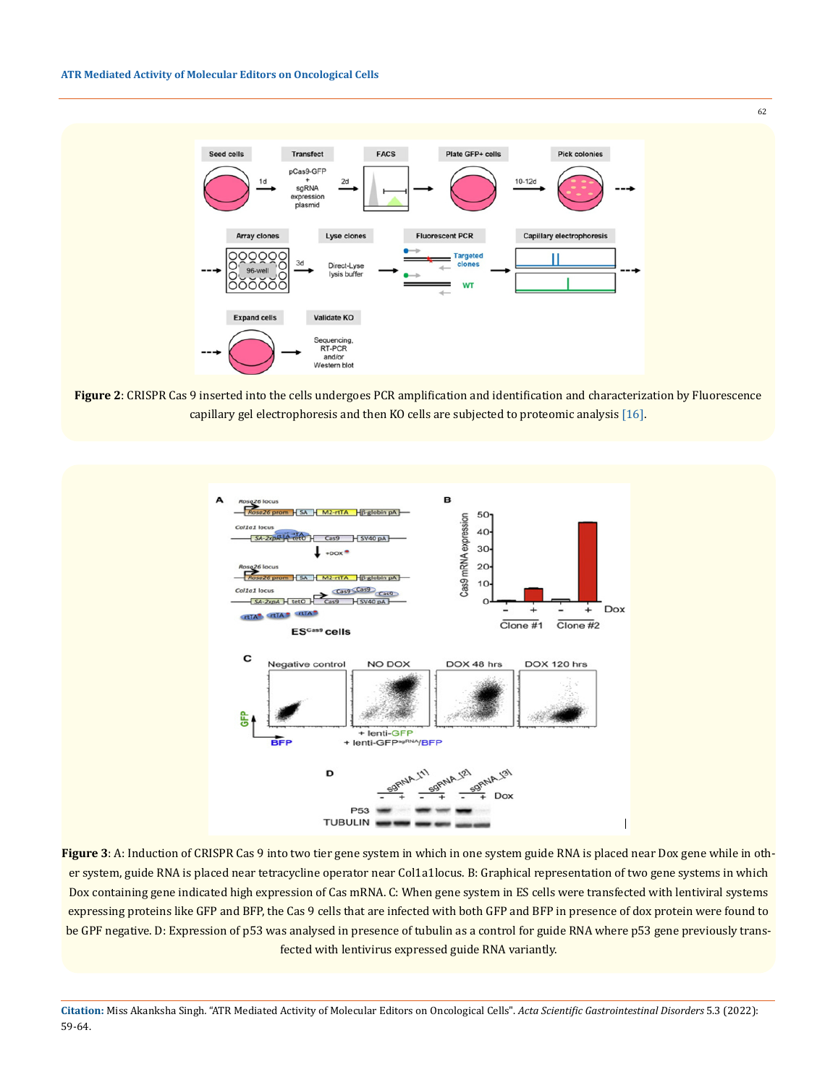#### **ATR Mediated Activity of Molecular Editors on Oncological Cells**



62

**Figure 2**: CRISPR Cas 9 inserted into the cells undergoes PCR amplification and identification and characterization by Fluorescence capillary gel electrophoresis and then KO cells are subjected to proteomic analysis [16].



Figure 3: A: Induction of CRISPR Cas 9 into two tier gene system in which in one system guide RNA is placed near Dox gene while in other system, guide RNA is placed near tetracycline operator near Col1a1locus. B: Graphical representation of two gene systems in which Dox containing gene indicated high expression of Cas mRNA. C: When gene system in ES cells were transfected with lentiviral systems expressing proteins like GFP and BFP, the Cas 9 cells that are infected with both GFP and BFP in presence of dox protein were found to be GPF negative. D: Expression of p53 was analysed in presence of tubulin as a control for guide RNA where p53 gene previously transfected with lentivirus expressed guide RNA variantly.

**Citation:** Miss Akanksha Singh*.* "ATR Mediated Activity of Molecular Editors on Oncological Cells". *Acta Scientific Gastrointestinal Disorders* 5.3 (2022): 59-64.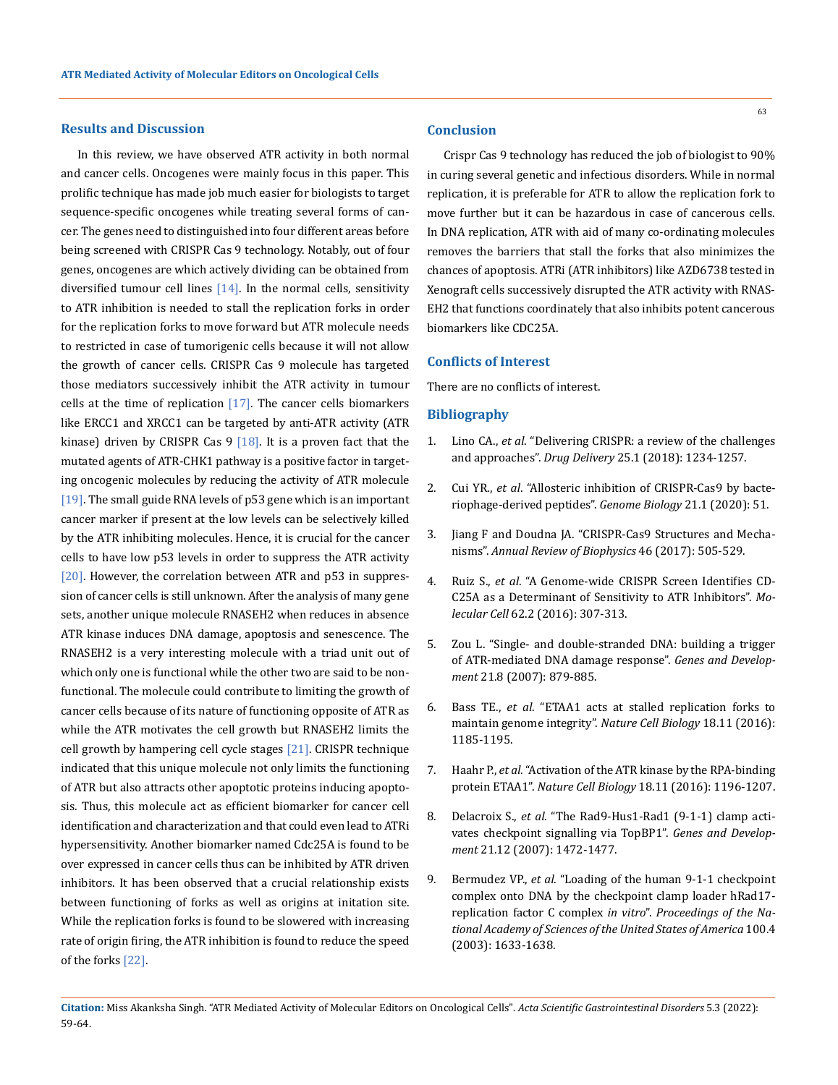### **Results and Discussion**

In this review, we have observed ATR activity in both normal and cancer cells. Oncogenes were mainly focus in this paper. This prolific technique has made job much easier for biologists to target sequence-specific oncogenes while treating several forms of cancer. The genes need to distinguished into four different areas before being screened with CRISPR Cas 9 technology. Notably, out of four genes, oncogenes are which actively dividing can be obtained from diversified tumour cell lines  $[14]$ . In the normal cells, sensitivity to ATR inhibition is needed to stall the replication forks in order for the replication forks to move forward but ATR molecule needs to restricted in case of tumorigenic cells because it will not allow the growth of cancer cells. CRISPR Cas 9 molecule has targeted those mediators successively inhibit the ATR activity in tumour cells at the time of replication  $[17]$ . The cancer cells biomarkers like ERCC1 and XRCC1 can be targeted by anti-ATR activity (ATR kinase) driven by CRISPR Cas  $9$  [18]. It is a proven fact that the mutated agents of ATR-CHK1 pathway is a positive factor in targeting oncogenic molecules by reducing the activity of ATR molecule [19]. The small guide RNA levels of p53 gene which is an important cancer marker if present at the low levels can be selectively killed by the ATR inhibiting molecules. Hence, it is crucial for the cancer cells to have low p53 levels in order to suppress the ATR activity [20]. However, the correlation between ATR and p53 in suppression of cancer cells is still unknown. After the analysis of many gene sets, another unique molecule RNASEH2 when reduces in absence ATR kinase induces DNA damage, apoptosis and senescence. The RNASEH2 is a very interesting molecule with a triad unit out of which only one is functional while the other two are said to be nonfunctional. The molecule could contribute to limiting the growth of cancer cells because of its nature of functioning opposite of ATR as while the ATR motivates the cell growth but RNASEH2 limits the cell growth by hampering cell cycle stages [21]. CRISPR technique indicated that this unique molecule not only limits the functioning of ATR but also attracts other apoptotic proteins inducing apoptosis. Thus, this molecule act as efficient biomarker for cancer cell identification and characterization and that could even lead to ATRi hypersensitivity. Another biomarker named Cdc25A is found to be over expressed in cancer cells thus can be inhibited by ATR driven inhibitors. It has been observed that a crucial relationship exists between functioning of forks as well as origins at initation site. While the replication forks is found to be slowered with increasing rate of origin firing, the ATR inhibition is found to reduce the speed of the forks [22].

#### **Conclusion**

Crispr Cas 9 technology has reduced the job of biologist to 90% in curing several genetic and infectious disorders. While in normal replication, it is preferable for ATR to allow the replication fork to move further but it can be hazardous in case of cancerous cells. In DNA replication, ATR with aid of many co-ordinating molecules removes the barriers that stall the forks that also minimizes the chances of apoptosis. ATRi (ATR inhibitors) like AZD6738 tested in Xenograft cells successively disrupted the ATR activity with RNAS-EH2 that functions coordinately that also inhibits potent cancerous biomarkers like CDC25A.

# **Conflicts of Interest**

There are no conflicts of interest.

### **Bibliography**

- 1. Lino CA., *et al*[. "Delivering CRISPR: a review of the challenges](https://www.tandfonline.com/doi/full/10.1080/10717544.2018.1474964) and approaches". *Drug Delivery* [25.1 \(2018\): 1234-1257.](https://www.tandfonline.com/doi/full/10.1080/10717544.2018.1474964)
- 2. Cui YR., *et al*[. "Allosteric inhibition of CRISPR-Cas9 by bacte](https://pubmed.ncbi.nlm.nih.gov/32102684/)[riophage-derived peptides".](https://pubmed.ncbi.nlm.nih.gov/32102684/) *Genome Biology* 21.1 (2020): 51.
- 3. [Jiang F and Doudna JA. "CRISPR-Cas9 Structures and Mecha](https://pubmed.ncbi.nlm.nih.gov/28375731/)nisms". *[Annual Review of Biophysics](https://pubmed.ncbi.nlm.nih.gov/28375731/)* 46 (2017): 505-529.
- 4. Ruiz S., *et al*[. "A Genome-wide CRISPR Screen Identifies CD](https://pubmed.ncbi.nlm.nih.gov/27067599/)-[C25A as a Determinant of Sensitivity to ATR Inhibitors".](https://pubmed.ncbi.nlm.nih.gov/27067599/) *Molecular Cell* [62.2 \(2016\): 307-313.](https://pubmed.ncbi.nlm.nih.gov/27067599/)
- 5. [Zou L. "Single- and double-stranded DNA: building a trigger](https://pubmed.ncbi.nlm.nih.gov/17437994/) [of ATR-mediated DNA damage response".](https://pubmed.ncbi.nlm.nih.gov/17437994/) *Genes and Development* [21.8 \(2007\): 879-885.](https://pubmed.ncbi.nlm.nih.gov/17437994/)
- 6. Bass TE., *et al*[. "ETAA1 acts at stalled replication forks to](https://rupress.org/jcb/article/218/12/3883/132508/ETAA1-ensures-proper-chromosome-segregation-A)  [maintain genome integrity".](https://rupress.org/jcb/article/218/12/3883/132508/ETAA1-ensures-proper-chromosome-segregation-A) *Nature Cell Biology* 18.11 (2016): [1185-1195.](https://rupress.org/jcb/article/218/12/3883/132508/ETAA1-ensures-proper-chromosome-segregation-A)
- 7. Haahr P., *et al*[. "Activation of the ATR kinase by the RPA-binding](https://app.dimensions.ai/details/publication/pub.1000558792) protein ETAA1". *Nature Cell Biology* [18.11 \(2016\): 1196-1207.](https://app.dimensions.ai/details/publication/pub.1000558792)
- 8. Delacroix S., *et al*[. "The Rad9-Hus1-Rad1 \(9-1-1\) clamp acti](http://genesdev.cshlp.org/content/21/12/1472)[vates checkpoint signalling via TopBP1".](http://genesdev.cshlp.org/content/21/12/1472) *Genes and Development* [21.12 \(2007\): 1472-1477.](http://genesdev.cshlp.org/content/21/12/1472)
- 9. Bermudez VP., *et al*[. "Loading of the human 9-1-1 checkpoint](https://pubmed.ncbi.nlm.nih.gov/12578958/)  [complex onto DNA by the checkpoint clamp loader hRad17](https://pubmed.ncbi.nlm.nih.gov/12578958/) [replication factor C complex](https://pubmed.ncbi.nlm.nih.gov/12578958/) *in vitro*". *Proceedings of the Na[tional Academy of Sciences of the United States of America](https://pubmed.ncbi.nlm.nih.gov/12578958/)* 100.4 [\(2003\): 1633-1638.](https://pubmed.ncbi.nlm.nih.gov/12578958/)

**Citation:** Miss Akanksha Singh*.* "ATR Mediated Activity of Molecular Editors on Oncological Cells". *Acta Scientific Gastrointestinal Disorders* 5.3 (2022): 59-64.